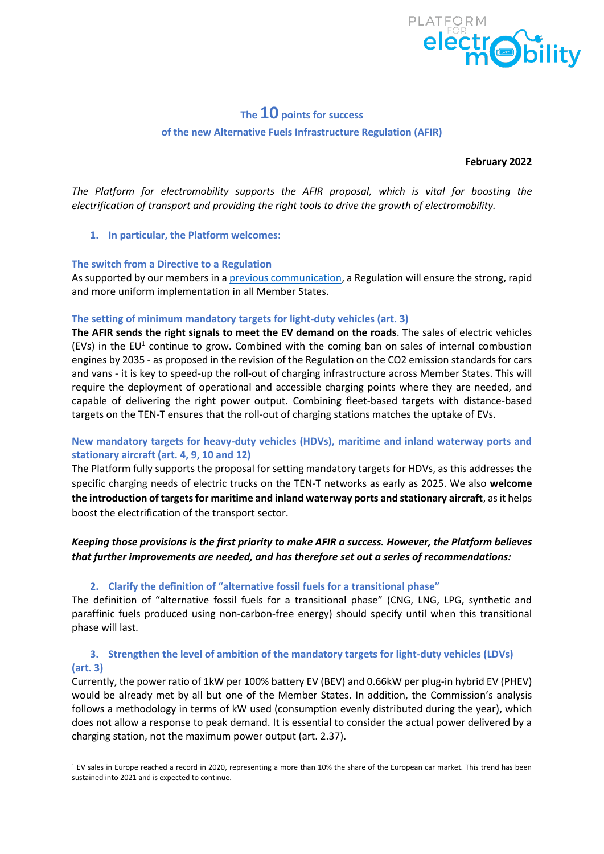

# **The 10 points for success of the new Alternative Fuels Infrastructure Regulation (AFIR)**

**February 2022**

*The Platform for electromobility supports the AFIR proposal, which is vital for boosting the electrification of transport and providing the right tools to drive the growth of electromobility.* 

#### **1. In particular, the Platform welcomes:**

### **The switch from a Directive to a Regulation**

As supported by our members in a [previous communication,](https://www.platformelectromobility.eu/wp-content/uploads/2021/02/AFID-Short-Paper_Platform-for-Electromobilitys-key-recommandations_20210210-1.pdf) a Regulation will ensure the strong, rapid and more uniform implementation in all Member States.

#### **The setting of minimum mandatory targets for light-duty vehicles (art. 3)**

**The AFIR sends the right signals to meet the EV demand on the roads**. The sales of electric vehicles (EVs) in the EU<sup>1</sup> continue to grow. Combined with the coming ban on sales of internal combustion engines by 2035 - as proposed in the revision of the Regulation on the CO2 emission standards for cars and vans - it is key to speed-up the roll-out of charging infrastructure across Member States. This will require the deployment of operational and accessible charging points where they are needed, and capable of delivering the right power output. Combining fleet-based targets with distance-based targets on the TEN-T ensures that the roll-out of charging stations matches the uptake of EVs.

## **New mandatory targets for heavy-duty vehicles (HDVs), maritime and inland waterway ports and stationary aircraft (art. 4, 9, 10 and 12)**

The Platform fully supports the proposal for setting mandatory targets for HDVs, as this addresses the specific charging needs of electric trucks on the TEN-T networks as early as 2025. We also **welcome the introduction of targets for maritime and inland waterway ports and stationary aircraft**, as it helps boost the electrification of the transport sector.

# *Keeping those provisions is the first priority to make AFIR a success. However, the Platform believes that further improvements are needed, and has therefore set out a series of recommendations:*

## **2. Clarify the definition of "alternative fossil fuels for a transitional phase"**

The definition of "alternative fossil fuels for a transitional phase" (CNG, LNG, LPG, synthetic and paraffinic fuels produced using non-carbon-free energy) should specify until when this transitional phase will last.

# **3. Strengthen the level of ambition of the mandatory targets for light-duty vehicles (LDVs) (art. 3)**

Currently, the power ratio of 1kW per 100% battery EV (BEV) and 0.66kW per plug-in hybrid EV (PHEV) would be already met by all but one of the Member States. In addition, the Commission's analysis follows a methodology in terms of kW used (consumption evenly distributed during the year), which does not allow a response to peak demand. It is essential to consider the actual power delivered by a charging station, not the maximum power output (art. 2.37).

<sup>&</sup>lt;sup>1</sup> EV sales in Europe reached a record in 2020, representing a more than 10% the share of the European car market. This trend has been sustained into 2021 and is expected to continue.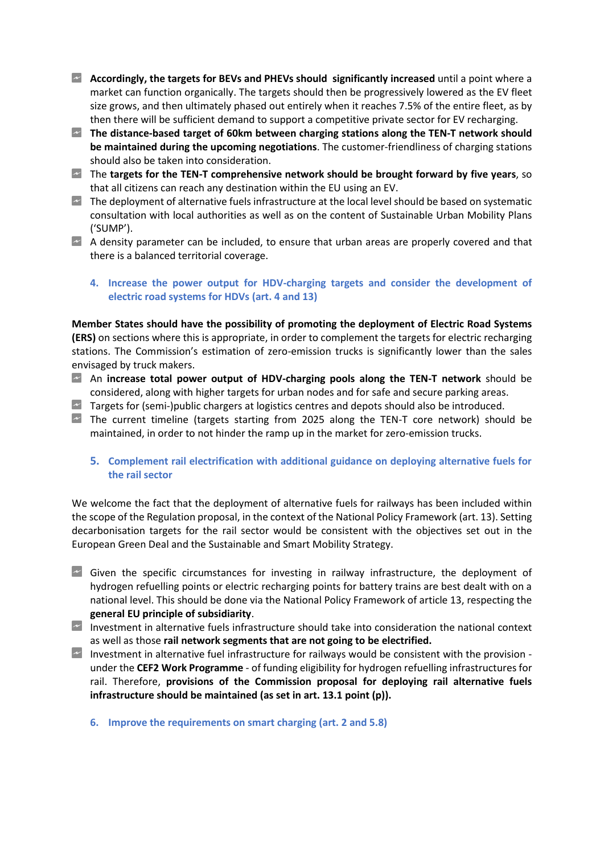- **Accordingly, the targets for BEVs and PHEVs should significantly increased** until a point where a market can function organically. The targets should then be progressively lowered as the EV fleet size grows, and then ultimately phased out entirely when it reaches 7.5% of the entire fleet, as by then there will be sufficient demand to support a competitive private sector for EV recharging.
- **The distance-based target of 60km between charging stations along the TEN-T network should be maintained during the upcoming negotiations**. The customer-friendliness of charging stations should also be taken into consideration.
- The **targets for the TEN-T comprehensive network should be brought forward by five years**, so that all citizens can reach any destination within the EU using an EV.
- $\sim$  The deployment of alternative fuels infrastructure at the local level should be based on systematic consultation with local authorities as well as on the content of Sustainable Urban Mobility Plans ('SUMP').
- A density parameter can be included, to ensure that urban areas are properly covered and that there is a balanced territorial coverage.

### **4. Increase the power output for HDV-charging targets and consider the development of electric road systems for HDVs (art. 4 and 13)**

**Member States should have the possibility of promoting the deployment of Electric Road Systems (ERS)** on sections where this is appropriate, in order to complement the targets for electric recharging stations. The Commission's estimation of zero-emission trucks is significantly lower than the sales envisaged by truck makers.

- An **increase total power output of HDV-charging pools along the TEN-T network** should be considered, along with higher targets for urban nodes and for safe and secure parking areas.
- $\sim$  Targets for (semi-)public chargers at logistics centres and depots should also be introduced.
- The current timeline (targets starting from 2025 along the TEN-T core network) should be maintained, in order to not hinder the ramp up in the market for zero-emission trucks.
	- **5. Complement rail electrification with additional guidance on deploying alternative fuels for the rail sector**

We welcome the fact that the deployment of alternative fuels for railways has been included within the scope of the Regulation proposal, in the context of the National Policy Framework (art. 13). Setting decarbonisation targets for the rail sector would be consistent with the objectives set out in the European Green Deal and the Sustainable and Smart Mobility Strategy.

- $\sim$  Given the specific circumstances for investing in railway infrastructure, the deployment of hydrogen refuelling points or electric recharging points for battery trains are best dealt with on a national level. This should be done via the National Policy Framework of article 13, respecting the **general EU principle of subsidiarity**.
- Investment in alternative fuels infrastructure should take into consideration the national context as well as those **rail network segments that are not going to be electrified.**
- Investment in alternative fuel infrastructure for railways would be consistent with the provision under the **CEF2 Work Programme** - of funding eligibility for hydrogen refuelling infrastructures for rail. Therefore, **provisions of the Commission proposal for deploying rail alternative fuels infrastructure should be maintained (as set in art. 13.1 point (p)).**
	- **6. Improve the requirements on smart charging (art. 2 and 5.8)**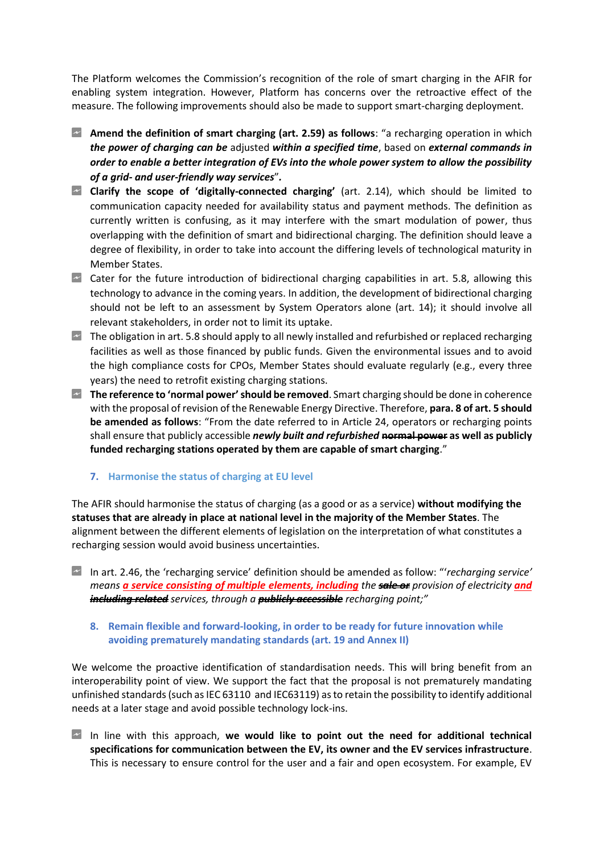The Platform welcomes the Commission's recognition of the role of smart charging in the AFIR for enabling system integration. However, Platform has concerns over the retroactive effect of the measure. The following improvements should also be made to support smart-charging deployment.

- **Amend the definition of smart charging (art. 2.59) as follows**: "a recharging operation in which *the power of charging can be* adjusted *within a specified time*, based on *external commands in order to enable a better integration of EVs into the whole power system to allow the possibility of a grid- and user-friendly way services*"*.*
- **Clarify the scope of 'digitally-connected charging'** (art. 2.14), which should be limited to communication capacity needed for availability status and payment methods. The definition as currently written is confusing, as it may interfere with the smart modulation of power, thus overlapping with the definition of smart and bidirectional charging. The definition should leave a degree of flexibility, in order to take into account the differing levels of technological maturity in Member States.
- $\sim$  Cater for the future introduction of bidirectional charging capabilities in art. 5.8, allowing this technology to advance in the coming years. In addition, the development of bidirectional charging should not be left to an assessment by System Operators alone (art. 14); it should involve all relevant stakeholders, in order not to limit its uptake.
- $\sim$  The obligation in art. 5.8 should apply to all newly installed and refurbished or replaced recharging facilities as well as those financed by public funds. Given the environmental issues and to avoid the high compliance costs for CPOs, Member States should evaluate regularly (e.g., every three years) the need to retrofit existing charging stations.
- **The reference to 'normal power'should be removed**. Smart charging should be done in coherence with the proposal of revision of the Renewable Energy Directive. Therefore, **para. 8 of art. 5 should be amended as follows**: "From the date referred to in Article 24, operators or recharging points shall ensure that publicly accessible *newly built and refurbished* **normal power as well as publicly funded recharging stations operated by them are capable of smart charging**."

## **7. Harmonise the status of charging at EU level**

The AFIR should harmonise the status of charging (as a good or as a service) **without modifying the statuses that are already in place at national level in the majority of the Member States**. The alignment between the different elements of legislation on the interpretation of what constitutes a recharging session would avoid business uncertainties.

In art. 2.46, the 'recharging service' definition should be amended as follow: "'*recharging service' means a service consisting of multiple elements, including the sale or provision of electricity and including related services, through a publicly accessible recharging point;"*

### **8. Remain flexible and forward-looking, in order to be ready for future innovation while avoiding prematurely mandating standards (art. 19 and Annex II)**

We welcome the proactive identification of standardisation needs. This will bring benefit from an interoperability point of view. We support the fact that the proposal is not prematurely mandating unfinished standards (such as IEC 63110 and IEC63119) as to retain the possibility to identify additional needs at a later stage and avoid possible technology lock-ins.

In line with this approach, **we would like to point out the need for additional technical specifications for communication between the EV, its owner and the EV services infrastructure**. This is necessary to ensure control for the user and a fair and open ecosystem. For example, EV